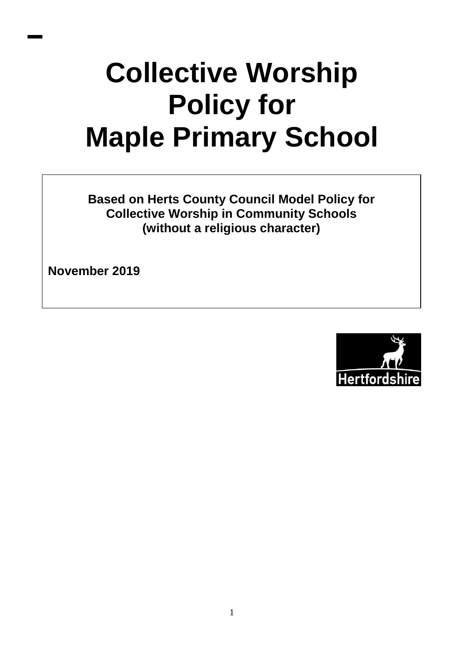# **Collective Worship Policy for Maple Primary School**

**Based on Herts County Council Model Policy for Collective Worship in Community Schools (without a religious character)**

**November 2019**

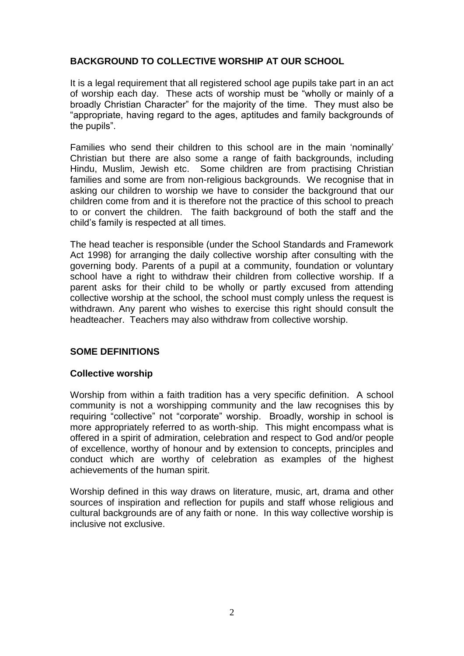# **BACKGROUND TO COLLECTIVE WORSHIP AT OUR SCHOOL**

It is a legal requirement that all registered school age pupils take part in an act of worship each day. These acts of worship must be "wholly or mainly of a broadly Christian Character" for the majority of the time. They must also be "appropriate, having regard to the ages, aptitudes and family backgrounds of the pupils".

Families who send their children to this school are in the main 'nominally' Christian but there are also some a range of faith backgrounds, including Hindu, Muslim, Jewish etc. Some children are from practising Christian families and some are from non-religious backgrounds. We recognise that in asking our children to worship we have to consider the background that our children come from and it is therefore not the practice of this school to preach to or convert the children. The faith background of both the staff and the child's family is respected at all times.

The head teacher is responsible (under the School Standards and Framework Act 1998) for arranging the daily collective worship after consulting with the governing body. Parents of a pupil at a community, foundation or voluntary school have a right to withdraw their children from collective worship. If a parent asks for their child to be wholly or partly excused from attending collective worship at the school, the school must comply unless the request is withdrawn. Any parent who wishes to exercise this right should consult the headteacher. Teachers may also withdraw from collective worship.

# **SOME DEFINITIONS**

### **Collective worship**

Worship from within a faith tradition has a very specific definition. A school community is not a worshipping community and the law recognises this by requiring "collective" not "corporate" worship. Broadly, worship in school is more appropriately referred to as worth-ship. This might encompass what is offered in a spirit of admiration, celebration and respect to God and/or people of excellence, worthy of honour and by extension to concepts, principles and conduct which are worthy of celebration as examples of the highest achievements of the human spirit.

Worship defined in this way draws on literature, music, art, drama and other sources of inspiration and reflection for pupils and staff whose religious and cultural backgrounds are of any faith or none. In this way collective worship is inclusive not exclusive.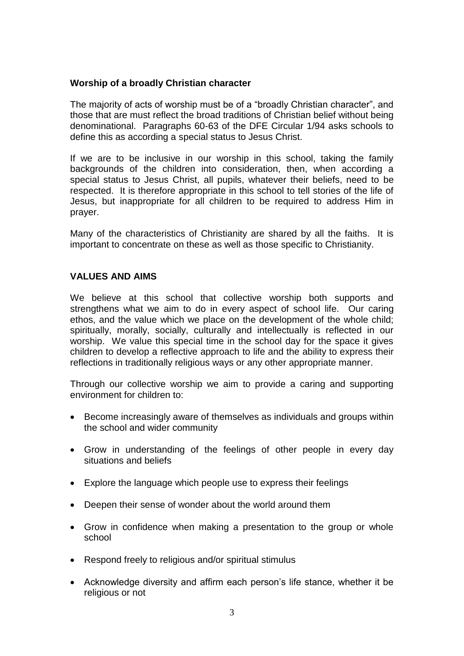### **Worship of a broadly Christian character**

The majority of acts of worship must be of a "broadly Christian character", and those that are must reflect the broad traditions of Christian belief without being denominational. Paragraphs 60-63 of the DFE Circular 1/94 asks schools to define this as according a special status to Jesus Christ.

If we are to be inclusive in our worship in this school, taking the family backgrounds of the children into consideration, then, when according a special status to Jesus Christ, all pupils, whatever their beliefs, need to be respected. It is therefore appropriate in this school to tell stories of the life of Jesus, but inappropriate for all children to be required to address Him in prayer.

Many of the characteristics of Christianity are shared by all the faiths. It is important to concentrate on these as well as those specific to Christianity.

### **VALUES AND AIMS**

We believe at this school that collective worship both supports and strengthens what we aim to do in every aspect of school life. Our caring ethos, and the value which we place on the development of the whole child; spiritually, morally, socially, culturally and intellectually is reflected in our worship. We value this special time in the school day for the space it gives children to develop a reflective approach to life and the ability to express their reflections in traditionally religious ways or any other appropriate manner.

Through our collective worship we aim to provide a caring and supporting environment for children to:

- Become increasingly aware of themselves as individuals and groups within the school and wider community
- Grow in understanding of the feelings of other people in every day situations and beliefs
- Explore the language which people use to express their feelings
- Deepen their sense of wonder about the world around them
- Grow in confidence when making a presentation to the group or whole school
- Respond freely to religious and/or spiritual stimulus
- Acknowledge diversity and affirm each person's life stance, whether it be religious or not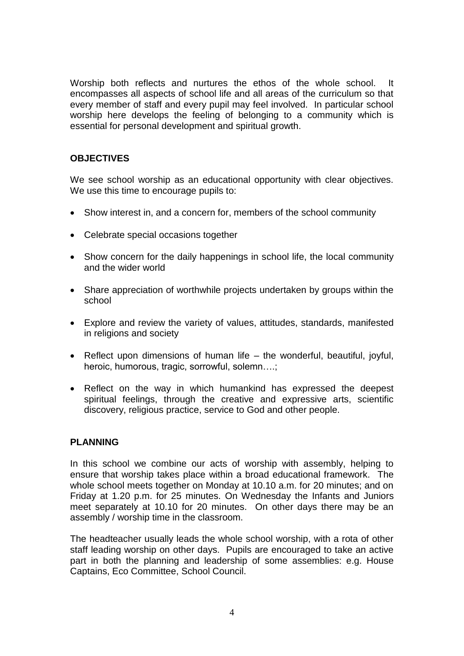Worship both reflects and nurtures the ethos of the whole school. It encompasses all aspects of school life and all areas of the curriculum so that every member of staff and every pupil may feel involved. In particular school worship here develops the feeling of belonging to a community which is essential for personal development and spiritual growth.

# **OBJECTIVES**

We see school worship as an educational opportunity with clear objectives. We use this time to encourage pupils to:

- Show interest in, and a concern for, members of the school community
- Celebrate special occasions together
- Show concern for the daily happenings in school life, the local community and the wider world
- Share appreciation of worthwhile projects undertaken by groups within the school
- Explore and review the variety of values, attitudes, standards, manifested in religions and society
- Reflect upon dimensions of human life the wonderful, beautiful, joyful, heroic, humorous, tragic, sorrowful, solemn….;
- Reflect on the way in which humankind has expressed the deepest spiritual feelings, through the creative and expressive arts, scientific discovery, religious practice, service to God and other people.

# **PLANNING**

In this school we combine our acts of worship with assembly, helping to ensure that worship takes place within a broad educational framework. The whole school meets together on Monday at 10.10 a.m. for 20 minutes; and on Friday at 1.20 p.m. for 25 minutes. On Wednesday the Infants and Juniors meet separately at 10.10 for 20 minutes. On other days there may be an assembly / worship time in the classroom.

The headteacher usually leads the whole school worship, with a rota of other staff leading worship on other days. Pupils are encouraged to take an active part in both the planning and leadership of some assemblies: e.g. House Captains, Eco Committee, School Council.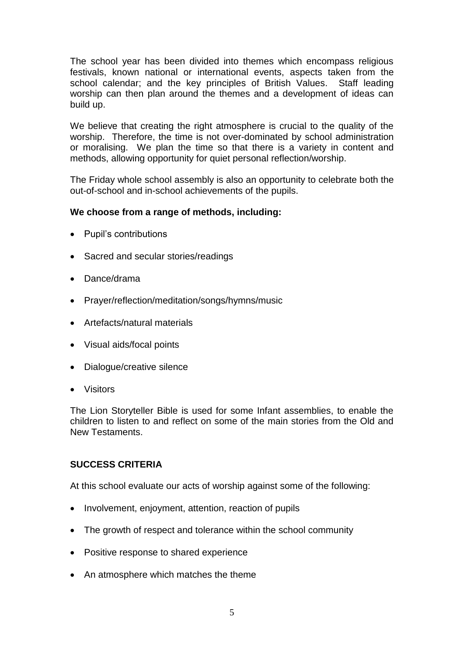The school year has been divided into themes which encompass religious festivals, known national or international events, aspects taken from the school calendar; and the key principles of British Values. Staff leading worship can then plan around the themes and a development of ideas can build up.

We believe that creating the right atmosphere is crucial to the quality of the worship. Therefore, the time is not over-dominated by school administration or moralising. We plan the time so that there is a variety in content and methods, allowing opportunity for quiet personal reflection/worship.

The Friday whole school assembly is also an opportunity to celebrate both the out-of-school and in-school achievements of the pupils.

# **We choose from a range of methods, including:**

- Pupil's contributions
- Sacred and secular stories/readings
- Dance/drama
- Prayer/reflection/meditation/songs/hymns/music
- Artefacts/natural materials
- Visual aids/focal points
- Dialogue/creative silence
- Visitors

The Lion Storyteller Bible is used for some Infant assemblies, to enable the children to listen to and reflect on some of the main stories from the Old and New Testaments.

### **SUCCESS CRITERIA**

At this school evaluate our acts of worship against some of the following:

- Involvement, enjoyment, attention, reaction of pupils
- The growth of respect and tolerance within the school community
- Positive response to shared experience
- An atmosphere which matches the theme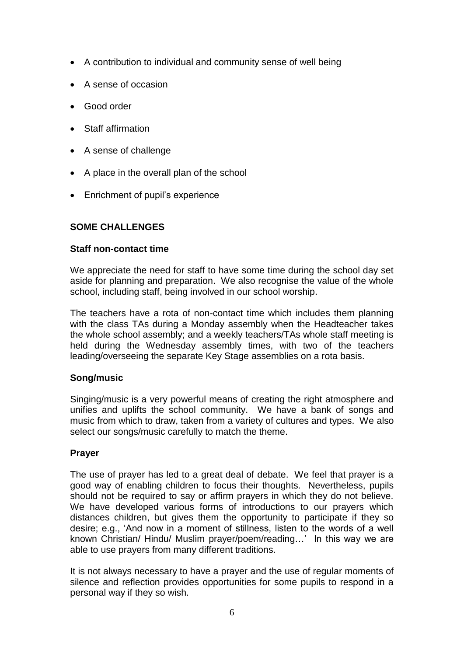- A contribution to individual and community sense of well being
- A sense of occasion
- Good order
- Staff affirmation
- A sense of challenge
- A place in the overall plan of the school
- Enrichment of pupil's experience

# **SOME CHALLENGES**

# **Staff non-contact time**

We appreciate the need for staff to have some time during the school day set aside for planning and preparation. We also recognise the value of the whole school, including staff, being involved in our school worship.

The teachers have a rota of non-contact time which includes them planning with the class TAs during a Monday assembly when the Headteacher takes the whole school assembly; and a weekly teachers/TAs whole staff meeting is held during the Wednesday assembly times, with two of the teachers leading/overseeing the separate Key Stage assemblies on a rota basis.

### **Song/music**

Singing/music is a very powerful means of creating the right atmosphere and unifies and uplifts the school community. We have a bank of songs and music from which to draw, taken from a variety of cultures and types. We also select our songs/music carefully to match the theme.

### **Prayer**

The use of prayer has led to a great deal of debate. We feel that prayer is a good way of enabling children to focus their thoughts. Nevertheless, pupils should not be required to say or affirm prayers in which they do not believe. We have developed various forms of introductions to our prayers which distances children, but gives them the opportunity to participate if they so desire; e.g., 'And now in a moment of stillness, listen to the words of a well known Christian/ Hindu/ Muslim prayer/poem/reading…' In this way we are able to use prayers from many different traditions.

It is not always necessary to have a prayer and the use of regular moments of silence and reflection provides opportunities for some pupils to respond in a personal way if they so wish.